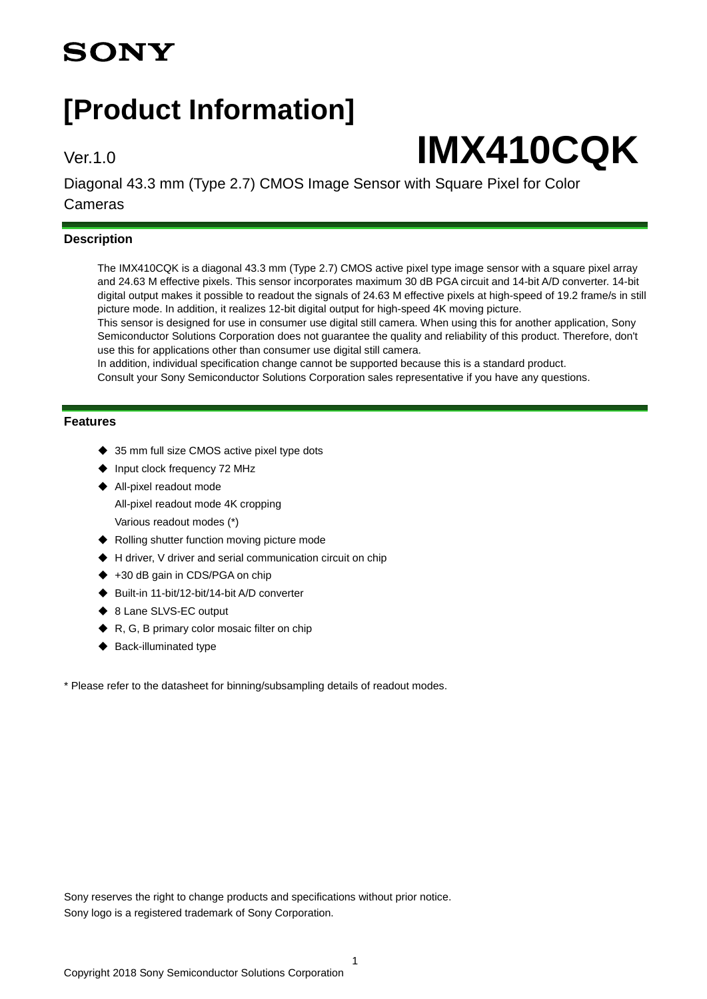## **SONY**

## **[Product Information]**

# Ver.1.0 **IMX410CQK**

Diagonal 43.3 mm (Type 2.7) CMOS Image Sensor with Square Pixel for Color Cameras

#### **Description**

The IMX410CQK is a diagonal 43.3 mm (Type 2.7) CMOS active pixel type image sensor with a square pixel array and 24.63 M effective pixels. This sensor incorporates maximum 30 dB PGA circuit and 14-bit A/D converter. 14-bit digital output makes it possible to readout the signals of 24.63 M effective pixels at high-speed of 19.2 frame/s in still picture mode. In addition, it realizes 12-bit digital output for high-speed 4K moving picture.

This sensor is designed for use in consumer use digital still camera. When using this for another application, Sony Semiconductor Solutions Corporation does not guarantee the quality and reliability of this product. Therefore, don't use this for applications other than consumer use digital still camera.

In addition, individual specification change cannot be supported because this is a standard product.

Consult your Sony Semiconductor Solutions Corporation sales representative if you have any questions.

#### **Features**

- ◆ 35 mm full size CMOS active pixel type dots
- Input clock frequency 72 MHz
- ◆ All-pixel readout mode All-pixel readout mode 4K cropping Various readout modes (\*)
- ◆ Rolling shutter function moving picture mode
- ◆ H driver, V driver and serial communication circuit on chip
- +30 dB gain in CDS/PGA on chip
- ◆ Built-in 11-bit/12-bit/14-bit A/D converter
- ◆ 8 Lane SLVS-EC output
- R, G, B primary color mosaic filter on chip
- ◆ Back-illuminated type

\* Please refer to the datasheet for binning/subsampling details of readout modes.

Sony reserves the right to change products and specifications without prior notice. Sony logo is a registered trademark of Sony Corporation.

1